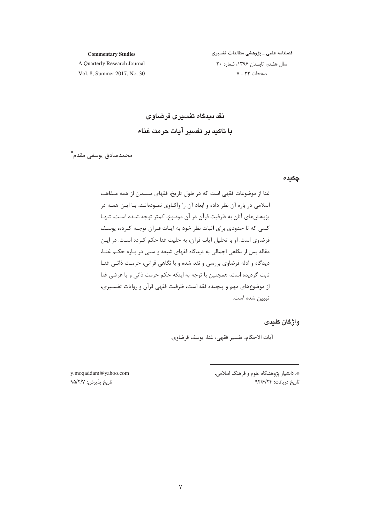#### **Commentary Studies**

فصلنامه علمی ـ پژوهشی مطالعات تفسیری سال هشتم، تابستان ١٣٩۶، شماره ٣٠ صفحات ٢٢ ـ ٧

A Quarterly Research Journal Vol. 8. Summer 2017, No. 30

# نقد دیدگاه تفسیری قرضاوی با تاكيد بر تفسير آيات حرمت غناء

محمدصادق يوسفي مقدم\*ّ

#### چکیدہ

غنا از موضوعات فقهی است که در طول تاریخ، فقهای مسلمان از همه مـذاهب اسلامی در باره آن نظر داده و ابعاد آن را واکـاوی نمـودهانـد، بـا ایـن همـه در پژوهشهای آنان به ظرفیت قرآن در آن موضوع، کمتر توجه شـده اسـت، تنهـا کسی که تا حدودی برای اثبات نظر خود به آیـات قـرآن توجـه کـرده، پوسـف قرضاوي است. او با تحليل آيات قرآن، به حليت غنا حكم كـرده اسـت. در ايـن مقاله پس از نگاهی اجمالی به دیدگاه فقهای شیعه و سنی در بـاره حکـم غنـا، دیدگاه و ادله قرضاوی بررسی و نقد شده و با نگاهی قرآنی، حرمت ذاتـی غنـا ثابت گردیده است، همچنین با توجه به اینکه حکم حرمت ذاتی و یا عرضی غنا از موضوعهای مهم و پیچیده فقه است، ظرفیت فقهی قرآن و روایات تفسیری، تبيين شده است.

## واژگان کلیدی

آيات الاحكام، تفسير فقهي، غنا، يوسف قرضاوي.

\*. دانشیار پژوهشگاه علوم و فرهنگ اسلامی. تاريخ دريافت: ٩۴/۶/٢۴

y.moqaddam@yahoo.com تاريخ پذيرش: ٩۵/٢/٧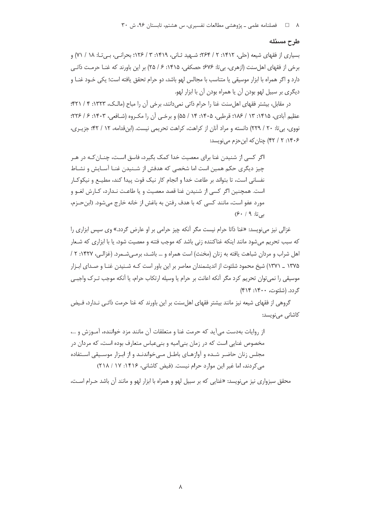#### طرح مسئله

بسیاری از فقهای شیعه (حلی، ۱۴۱۲: ۲ / ۲۶۴: شـهید ثـانی، ۱۴۱۹: ۳ / ۱۲۶؛ بحرانـی، بـی تـا: ۱۸ / ۷۱) و برخی از فقهای اهلِسنت (ازهری، بی¤: ۶۷۶؛ حصکفی، ۱۴۱۵: ۶ / ۲۵) بر این باورند که غنــا حرمــت ذاتــی دارد و اگر همراه با ابزار موسیقی یا متناسب با مجالس لهو باشد، دو حرام تحقق یافته است؛ یکی خـود غنـا و دیگری بر سبیل لهو بودن آن یا همراه بودن آن با ابزار لهو.

در مقابل، بیشتر فقهای اهل سنت غنا را حرام ذاتی نمی دانند، برخی آن را مباح (مالـک، ۱۳۲۳: ۴ / ۴۲۱)؛ عظیم آبادی، ۱۴۱۵: ۱۳ / ۱۸۶؛ قرطبی، ۱۴۰۵: ۱۴ / ۵۵) و برخبی آن را مکروه (شـافعی، ۱۴۰۳: ۶ / ۲۲۶؛ نووی، بی تا: ٢٠ / ٢٢٩) دانسته و مراد آنان از کراهت، کراهت تحریمی نیست. (ابن قدامه، ١٢ / ۴٢؛ جزیری، ۱۴۰۶: ۲ / ۴۲) چنان که ابن حزم می نویسد:

اگر کسی از شنیدن غنا برای معصیت خدا کمک بگیرد، فاسق است، چنــان *ک*ـه در هــر چیز دیگری حکم همین است اما شخصی که هدفش از شـنیدن غنـا آسـایش و نشـاط نفسانی است، تا بتواند بر طاعت خدا و انجام کار نیک قوت پیدا کند، مطیــع و نیکوکــار است. همچنین اگر کسی از شنیدن غنا قصد معصیت و یا طاعت نـدارد، کـارش لغـو و مورد عفو است، مانند کسی که با هدف رفتن به باغش از خانه خارج میشود. (ابن حـزم،  $(5 \cdot 4 \cdot 9)$ بی تا:

غزالی نیز مینویسد: «غنا ذاتا حرام نیست مگر آنکه چیز حرامی بر او عارض گردد.» وی سپس ابزاری را که سبب تحریم میشود مانند اینکه غناکننده زنی باشد که موجب فتنه و معصیت شود، یا با ابزاری که شـعار اهل شراب و مردان شباهت یافته به زنان (مخنث) است همراه و … باشد، برمهیشـمرد. (غزالـی، ۱۴۲۷: ۲ / ۱۳۷۵ \_ ۱۳۷۱) شیخ محمود شلتوت از اندیشمندان معاصر بر این باور است کـه شـنیدن غنـا و صـدای ابـزار موسیقی را نمی¤وان تحریم کرد مگر آنکه اعانت بر حرام یا وسیله ارتکاب حرام، یا آنکه موجب تـرک واجبـی گردد. (شلتوت، ۱۴۰۰: ۴۱۴)

گروهی از فقهای شیعه نیز مانند بیشتر فقهای اهل سنت بر این باورند که غنا حرمت ذاتـی نـدارد، فـیض کاشانی می نویسد:

از روايات بهدست مي آيد كه حرمت غنا و متعلقات آن مانند مزد خواننده، آمـوزش و …، مخصوص غنایی است که در زمان بنی|میه و بنیعباس متعارف بوده است، که مردان در مجلس زنان حاضر شده و آوازهـای باطـل مـیخواندنـد و از ابـزار موسـیقی اسـتفاده می کردند، اما غیر این موارد حرام نیست. (فیض کاشانی، ۱۴۱۶: ۱۷ / ۲۱۸)

محقق سبزواری نیز می نویسد: «غنایی که بر سبیل لهو و همراه با ابزار لهو و مانند آن باشد حـرام اسـت،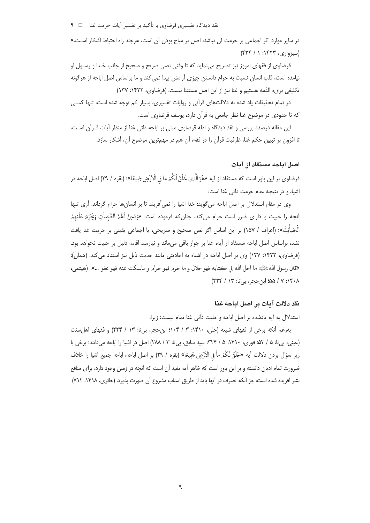در سایر موارد اگر اجماعی بر حرمت آن نباشد، اصل بر مباح بودن آن است، هرچند راه احتیاط آشکار اسـت.»  $($ ۴۳۴ / ۱ :۱۴۲۳ (ری، ۱۴۳۴)

قرضاوي از فقهاي امروز نيز تصريح ميiمايد كه تا وقتي نصى صريح و صحيح از جانب خـدا و رسـول او نیامده است، قلب انسان نسبت به حرام دانستن چیزی آرامش پیدا نمی کند و ما براساس اصل اباحه از هرگونه تكليفي بريء الذمه هستيم و غنا نيز از اين اصل مستثنا نيست. (قرضاوي، ١٣٢٢: ١٣٧)

در تمام تحقیقات یاد شده به دلالتهای قرآنی و روایات تفسیری، بسیار کم توجه شده است، تنها کسبی كه تا حدودي در موضوع غنا نظر جامعي به قرآن دارد، يوسف قرضاوي است.

این مقاله درصدد بررسی و نقد دیدگاه و ادله قرضاوی مبنی بر اباحه ذاتی غنا از منظر آیات قـرآن اسـت، تا افزون بر تبیین حکم غنا، ظرفیت قرآن را در فقه، آن هم در مهمترین موضوع آن، آشکار سازد.

## اصل اداجه مستفاد از آدات

قرضاوي بر اين باور است كه مستفاد از آيه «هُوَ الَّذِي خَلَقَ لَكُمْ ماْ فِي الْأَرْضِ جَمِيعًا»؛ (بقره / ٢٩) اصل اباحه در اشیا، و در نتیجه عدم حرمت ذاتی غنا است:

وی در مقام استدلال بر اصل اباحه میگوید: خدا اشیا را نمیآفریند تا بر انسانها حرام گرداند، آری تنها أنچه را خبيث و داراي ضرر است حرام ميكند، چنانِكه فرموده است: «وَيُحِلُّ لَهُمُ الطَّيِّباٰتِ وَيُحَرَمُ عَلَيْهمُ الْحَباٰئِثَ»؛ (اعراف / ١۵٧) بر اين اساس اگر نص صحيح و صريحي، يا اجماعي يقيني بر حرمت غنا يافت نشد، براساس اصل اباحه مستفاد از آیه، غنا بر جواز باقی میماند و نیازمند اقامه دلیل بر حلیت نخواهد بود. (قرضاوی، ۱۴۲۲: ۱۳۷) وی بر اصل اباحه در اشیاء به احادیثی مانند حدیث ذیل نیز استناد می کند. (همان): «قال رسول اللهﷺ ما احل الله في كتابه فهو حلال و ما حرم فهو حرام و ماسكت عنه فهو عفو …». (هيثمي، ٠١۴٠٨: ٧ / ٥۵؛ ابن حجر، بي تا: ٢٢٣ / ٢٢٣)

# نقد دلالت آمات بر اصل اباجه غنا

استدلال به آيه يادشده بر اصل اباحه و حليت ذاتي غنا تمام نيست؛ زيرا:

بهرغم آنكه برخي از فقهاي شيعه (حلي، ١۴١٠: ٣ / ١٠۴؛ ابن حجر، بي تا: ١٣ / ٢٢۴) و فقهاي اهل سنت (عینی، بیتا: ۵ / ۵۳؛ فوری، ۱۴۱۰: ۵ / ۳۲۴؛ سید سابق، بیتا: ۳ / ۲۸۸) اصل در اشیا را اباحه میدانند؛ برخی با زير سؤال بردن دلالت أيه «خَلَقَ لَكُمْ ماْ فِي الْأَرْضِ جَمِيعًا» (بقره / ٢٩) بر اصل اباحه، اباحه جميع اشيا را خلاف ضرورت تمام ادیان دانسته و بر این باور است که ظاهر آیه مفید آن است که آنچه در زمین وجود دارد، برای منافع بشر آفریده شده است، جز آنکه تصرف در آنها باید از طریق اسباب مشروع آن صورت پذیرد. (حائری، ۱۴۱۸: ۲۱۲)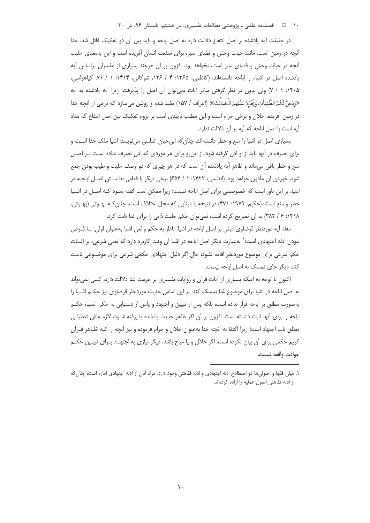۱۰ = د فصلنامه علمی ـ پژوهشی مطالعات تفسیری، س هشتم، تابستان ۹۶، ش ۳۰

در حقیقت آیه یادشده بر اصل انتفاع دلالت دارد نه اصل اباحه و باید بین آن دو تفکیک قائل شد، خدا آنچه در زمین است، مانند حیات وحش و فضای سبز، برای منفعت انسان آفریده است و این بهمعنای حلیت آنچه در حیات وحش و فضای سبز است، نخواهد بود. افزون بر آن هرچند بسیاری از مفسران براساس آیه یادشده اصل در اشیاء را اباحه دانستهاند، (کاظمی، ۱۳۶۵: ۴ / ۱۲۶، شوکانی، ۱۴۱۴: ۱ / ۷۱، کیاهراسی، ۱۴۰۵: ۱ / ۷) ولی بدون در نظر گرفتن سایر آیات نمیتوان آن اصل را پذیرفت؛ زیرا آیه یادشده به آیه «وَيُحِلُّ لَهُمُ الطَّيّباٰتِ وَيُحَرِّمُ عَلَيْهِمُ الْحَباٰثِثَ»؛ (اعراف / ١۵٧) مقيد شده و روشن مي سازد كه برخي از آنچه خدا در زمین آفریده، حلال و برخی حرام است و این مطلب تأییدی است بر لزوم تفکیک بین اصل انتفاع که مفاد آيه است با اصل اباحه كه آيه بر آن دلالت ندارد.

بسیاری اصل در اشیا را منع و حظر دانستهاند، چنان که ابی حیان اندلسی می نویسد: اشیا ملک خدا است و برای تصرف در آنها باید از او اذن گرفته شود، از اینررو برای هر موردی که اذن تصرف نداده است بـر اصـل منع و حظر باقی می،اند و ظاهر آیه یادشده آن است که در هر چیزی که دو وصف حلیت و طیب بودن جمع شود، خوردن آن مأذون خواهد بود. (اندلسي، ۱۴۲۲: ۱ / ۶۵۴) برخی دیگر با قطعی ندانسـتن اصـل اباحـه در اشیا، بر این باور است که خصوصیتی برای اصل اباحه نیست؛ زیرا ممکن است گفته شـود کـه اصـل در اشـیا حظر و منع است. (حکیم، ۱۹۷۹: ۴۷۱) در نتیجه با مبنایی که محل اختلاف است، چنان کـه بهـوتی (بهـوتی، ١۴١٨: ۶/ ٣٨٢) به آن تصريح كرده است، نمي توان حكم حليت ذاتي را براي غنا ثابت كرد.

مفاد آیه موردنظر قرضاوی مبنی بر اصل اباحه در اشیا، ناظر به حکم واقعی اشیا بهعنوان اولی، بـا فـرض نبودن ادله اجتهادی است؛<sup>\</sup> بهعبارت دیگر اصل اباحه در اشیا آن وقت کاربرد دارد که نصی شرعی، بر اثبـات حکم شرعی برای موضوع موردنظر اقامه نشود، حال اگر دلیل اجتهادی حکمی شرعی برای موضـوعی ثابـت کند، دیگر جای تمسک به اصل اباحه نیست.

اکنون با توجه به اینکه بسیاری از آیات قرآن و روایات تفسیری بر حرمت غنا دلالت دارد، کسی نمی تواند به اصل اباحه در اشیا برای موضوع غنا تمسک کند. بر این اساس حدیث موردنظر قرضاوی نیز حکــم اشــیا را بهصورت مطلق بر اباحه قرار نداده است، بلکه پس از تبیین و اجتهاد و پأس از دستیابی به حکم اشـیا، حکــم اباحه را براي آنها ثابت دانسته است. افزون بر آن اگر ظاهر حديث يادشده يذيرفته شـود، لازمـهاش تعطيلـي مطلق باب اجتهاد است؛ زيرا اكتفا به أنچه خدا بهعنوان حلال و حرام فرموده و نيز أنچه را كـه ظـاهر قــرأن کریم حکمی برای آن بیان نکرده است، اگر حلال و یا مباح باشد، دیگر نیازی به اجتهـاد بـرای تبیـین حکـم حوادث واقعه نيست.

١. ميان فقها و اصولي ها دو اصطلاح ادله اجتهادي و ادله فقاهتي وجود دارد، مراد آنان از ادله اجتهادي اماره است، چنان كه از ادله فقاهتی اصول عملیه را اراده کردهاند.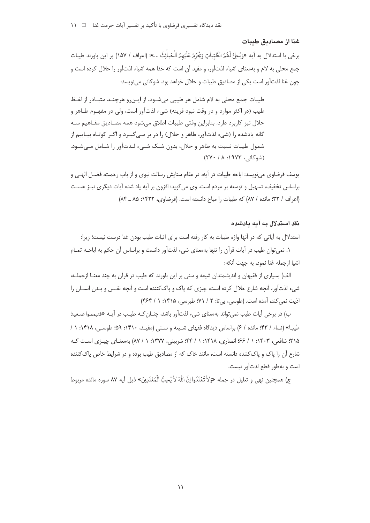#### غنا از مصادىق طىبات

برخي با استدلال به آيه «وَيُحِلُّ لَعُمُ الطَّيِّباٰتِ وَيُحَرِّمُ عَلَيْهِمُ الْحَباٰئِثَ ...»؛ (اعراف / ١۵٧) بر اين باورند طيبات جمع محلی به لام و بهمعنای اشیاء لذتآور، و مفید آن است که خدا همه اشیاء لذتآور را حلال کرده است و چون غنا لذت[ور است یکی از مصادیق طیبات و حلال خواهد بود. شوکانی می نویسد:

طیبات جمع محلی به لام شامل هر طیبی میشـود، از ایـن, و هرچنـد متبـاد, از لفـظ طیب (در اکثر موارد و در وقت نبود قرینه) شیء لذتآور است، ولی در مفهـوم طــاهر و حلال نیز کاربرد دارد. بنابراین وقتی طیبات اطلاق می شود همه مصـادیق مفـاهیم سـه گانه یادشده ۱٫ (شیء لذتآور، طاهر و حلال) ۱٫ در بر مبی گیبرد و اگیر کوتـاه بیـاییم از شمول طیبات نسبت به طاهر و حلال، بدون شـک شـیء لـذتآور را شـامل مـی شـود. (شوكانى، ١٩٧٣: ٢٧٠/ ٢٧٠)

یوسف قرضاوی می;نویسد: اباحه طیبات در آیه، در مقام ستایش رسالت نبوی و از باب رحمت، فضـل الهـی و براساس تخفیف، تسهیل و توسعه بر مردم است. وی می¢وید: افزون بر آیه یاد شده آیات دیگری نیـز هسـت (اعراف / ٣٢؛ مائده / ٨٧) كه طبيات را مباح دانسته است. (قرضاوي، ١٤٢٢: ٨٥ ـ ٨۴)

## نقد استدلال به آبه بادشده

استدلال به آیاتی که در آنها واژه طیبات به کار رفته است برای اثبات طیب بودن غنا درست نیست؛ زیرا:

١. نمي توان طيب در آيات قرآن را تنها بهمعناي شيء لذت[ور دانست و براساس آن حكم به اباحـه تمـام اشيا ازجمله غنا نمود، به جهت آنكه:

الف) بسیاری از فقیهان و اندیشمندان شیعه و سنی بر این باورند که طیب در قرآن به چند معنـا ازجملـه، شيء لذتآور، آنچه شارع حلال كرده است، چيزي كه پاک و پاککننده است و آنچه نفس و بـدن انسـان را اذیت نمی کند، آمده است. (طوسی، بی تا: ۲ / ۷۱؛ طبرسی، ۱۴۱۵: ۱ / ۴۶۴)

ب) در برخی آیات طیب نمی تواند بهمعنای شیء لذتآور باشد، چنـان *ک*ـه طیـب در آیـه «فتیمموا صـعیدا طیبا» (نساء / ۴۳؛ مائده / ۶) براساس دیدگاه فقهای شیعه و سنی (مفیـد، ۱۴۱۰: ۵۹؛ طوسـی، ۱۴۱۸: ۱ / ۲۱۵؛ شافعی، ۱۴۰۳: ۱ / ۶۶؛ انصاری، ۱۴۱۸: ۱ / ۴۴؛ شربینی، ۱۳۷۷: ۱ / ۸۷) به معنـای چیـزی اسـت کـه شارع آن را پاک و پاککننده دانسته است، مانند خاک که از مصادیق طیب بوده و در شرایط خاص پاککننده است و بهطور قطع لذتآور نيست.

ج) همچنين نهي و تعليل در جمله «وَلاٰ تَعْتَدُوٓا انَّ اللهَ لاٰ يُحبُّ الْمُعْتَدِينَ» ذيل آيه ٨٧ سوره مائده مربوط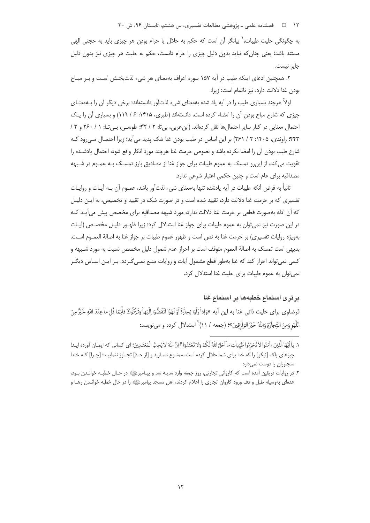۱۲ = 1 فصلنامه علمی ـ پژوهشی مطالعات تفسیری، س هشتم، تابستان ۹۶، ش ۳۰

به چگونگی حلیت طیبات، ٰ بیانگر آن است که حکم به حلال یا حرام بودن هر چیزی باید به حجتی الهی مستند باشد؛ یعنی چنان که نباید بدون دلیل چیزی را حرام دانست، حکم به حلیت هر چیزی نیز بدون دلیل حایز نیست.

۲. همچنین ادعای اینکه طیب در آیه ۱۵۷ سوره اعراف بهمعنای هر شیء لذتبخش است و بـر مبـاح بودن غنا دلالت دارد، نیز ناتمام است؛ زیرا:

اولاً هرچند بسیاری طیب را در آیه یاد شده بهمعنای شیء لذتآور دانستهاند؛ برخی دیگر آن را بـهمعنــای چیزی که شارع مباح بودن آن را امضاء کرده است، دانستهاند (طبری، ۱۴۱۵: ۶/ ۱۱۹) و بسیاری آن را یک احتمال معنایی در کنار سایر احتمال ها نقل کردهاند. (ابن عربی، بی تا: ۲ / ۳۲؛ طوسی، بـی تـا: ۱ / ۲۶۰ و ۳ / ۴۴۳؛ راوندی، ۱۴۰۵: ۲ / ۲۶۱) بر این اساس در طیب بودن غنا شک پدید می آید؛ زیرا احتمـال مـی رود کـه شارع طيب بودن آن را امضا نكرده باشد و نصوص حرمت غنا هرچند مورد انكار واقع شود، احتمال يادشـده را تقویت می کند، از این٫و تمسک به عموم طیبات برای جواز غنا از مصادیق بارز تمسـک بـه عمـوم در شـبهه مصداقیه برای عام است و چنین حکمی اعتبار شرعی ندارد.

ثانياً به فرض آنكه طيبات در آيه يادشده تنها بهمعناي شيء لذتآور باشد، عمـوم آن بـه آيـات و روايـات تفسیری که بر حرمت غنا دلالت دارد، تقیید شده است و در صورت شک در تقیید و تخصیص، به ایـن دلیـل كه آن ادله بهصورت قطعي بر حرمت غنا دلالت ندارد، مورد شبهه مصداقيه براي مخصص پيش مي آيـد كـه در این صورت نیز نمی توان به عموم طیبات برای جواز غنا استدلال کرد؛ زیرا ظهـور دلیـل مخصـص (آیـات بهويژه روايات تفسيري) بر حرمت غنا به نص است و ظهور عموم طيبات بر جواز غنا به اصالة العمـوم اسـت. بديهي است تمسك به اصالة العموم متوقف است بر احراز عدم شمول دليل مخصص نسبت به مورد شـبهه و کسی نمی تواند احراز کند که غنا بهطور قطع مشمول آیات و روایات منـع نمـی گـردد. بـر ایـن اسـاس دیگـر نمی توان به عموم طیبات برای حلیت غنا استدلال کرد.

# برترى استماع خطبهها بر استماع غنا

قرضاوي براي حليت ذاتي غنا به اين آيه «وَإداْ رَاَوْا تِجاْرَةً اَوْلَهْوًا انْفَضّْوَا اِلَيْهاْ وَتَرَكُوكَ قأنِمًا قُلْ ماعِنْدَ اللهِ خَيْرُ مِنَ اللَّهْووَمِنَ التِّجاْرَةِ وَاللَّهُ خَيْرُ الرّازقينَ»؛ (جمعه / ١١) ٢ استدلال كرده و ميiويسد:

١. بأَاتَٰهَا الَّذميَ ءاٰمَنُوا لاٰ تُحَرِّمُوا طَيِّباٰت مآْ اَحَلَّ اللّٰهُ لَكُدْ وَلاٰ تَعْتَدُوٓا ﷺ إِنَّ اللّٰهَ لاٰ يُحِبُّ الْمُعْتَـٰڊينَ؛ اي كساني كه ايمـان آورده ايـد! چیزهای پاک [نیکو] را که خدا برای شما حلال کرده است، ممنـوع نسـازید و [از حـدّ] تجـاوز ننماییـد؛ [چـرا] کـه خـدا متجاوزان را دوست نمی دارد.

٢. در روايات فريقين آمده است كه كارواني تجارتي، روز جمعه وارد مدينه شد و پيـامبرﷺ در حـال خطبـه خوانـدن بـود، عدهای بهوسیله طبل و دف ورود کاروان تجاری را اعلام کردند، اهل مسجد پیامبرﷺ را در حال خطبه خوانـدن رهـا و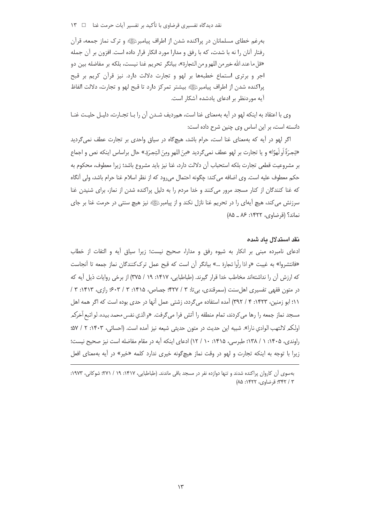نقد دیدگاه تفسیری قرضاوی با تأکید بر تفسیر آیات حرمت غنا □ ١٣

بهرغم خطای مسلمانان در پراکنده شدن از اطراف پیامبرﷺ و ترک نماز جمعه، قرآن رفتار آنان را نه با شدت، که با رفق و مدارا مورد انکار قرار داده است. افزون بر آن جمله «قل ما عند الله خير من اللهو و من التجارة»، بيانگر تحريم غنا نيست، بلكه بر مفاضله بين دو اجر و برتری استماع خطبهها بر لهو و تجارت دلالت دارد. نیز قرآن کریم بر قبح پراکنده شدن از اطراف پیامبرﷺ بیشتر تمرکز دارد تا قبح لهو و تجارت، دلالت الفاظ آیه موردنظر بر ادعای یادشده آشکار است.

وي با اعتقاد به اينكه لهو در آيه بهمعناي غنا است، همرديف شـدن آن را بـا تجـارت، دليـل حليـت غنـا دانسته است، بر این اساس وی چنین شرح داده است:

اگر لهو در آیه که بهمعنای غنا است، حرام باشد، هیچگاه در سیاق واحدی بر تجارت عطف نمی گردید «تِجرَةَ أُو لَهوًا» و يا تجارت بر لهو عطف نمي5رديد «مِنَ اللهو ومِنَ التِجرَةِ.» حال براساس اينكه نص و اجماع بر مشروعيت قطعي تجارت بلكه استحباب آن دلالت دارد، غنا نيز بايد مشروع باشد؛ زيرا معطوف، محكوم به حكم معطوف عليه است. وي اضافه مي كند: چگونه احتمال مي رود كه از نظر اسلام غنا حرام باشد، ولي آنگاه که غنا کنندگان از کنار مسجد مرور میکنند و خدا مردم را به دلیل پراکنده شدن از نماز، برای شنیدن غنا سرزنش می کند، هیچ آیهای را در تحریم غنا نازل نکند و از پیامبرﷺ نیز هیچ سنتی در حرمت غنا بر جای  $(A\Delta - \lambda^2 : 1$  نماند؟ (قرضاوي، ١۴٢٢: ٨۶ ـ ٨٥)

#### نقد استدلال یاد شده

ادعای نامبرده مبنی بر انکار به شیوه رفق و مدارا، صحیح نیست؛ زیرا سیاق آیه و التفات از خطاب «فانتشروا» به غيبت «و اذا رأوا تجارة …» بيانگر آن است كه قبح عمل ترك كنندگان نماز جمعه تا آنجاست که ارزش آن را نداشتهاند مخاطب خدا قرار گیرند. (طباطبایی، ۱۴۱۷: ۱۹ / ۳۷۵) از برخی روایات ذیل آیه که در متون فقهی تفسیری اهل سنت (سمرقندی، بی تا: ٣ / ۴۲۷؛ جصاص، ١۴١۵: ٣ / ۶۰۳؛ رازی، ١۴١٣: ٣ / ١١؛ ابو زمنين، ١٤٢٣: ٤ / ٣٩٢) آمده استفاده مي گردد، زشتي عمل آنها در حدي بوده است كه اگر همه اهل مسجد نماز جمعه را رها مي كردند، تمام منطقه را آتش فرا مي5رفت. «والذي نفس محمد بيده، لو اتبع آخركمر اولكم لالتهب الوادي نارا». شبيه اين حديث در متون حديثي شيعه نيز أمده است. (احسائي، ١۴٠٣: ٢ / ۵۷؛ راوندی، ۱۴۰۵: ۱ / ۱۳۸؛ طبرسی، ۱۴۱۵: ۱۰ / ۱۲) ادعای اینکه آیه در مقام مفاضله است نیز صحیح نیست؛ زیرا با توجه به اینکه تجارت و لهو در وقت نماز هیچگونه خیری ندارد کلمه «خیر» در آیه بهمعنای افعل

بهسوی آن کاروان پراکنده شدند و تنها دوازده نفر در مسجد باقی ماندند. (طباطبایی، ۱۴۱۷: ۱۹ / ۲۷۱: شوکانی، ۱۹۷۳: ٣ / ٣۴٢: قرضاوي، ١۴٢٢: ٨۵)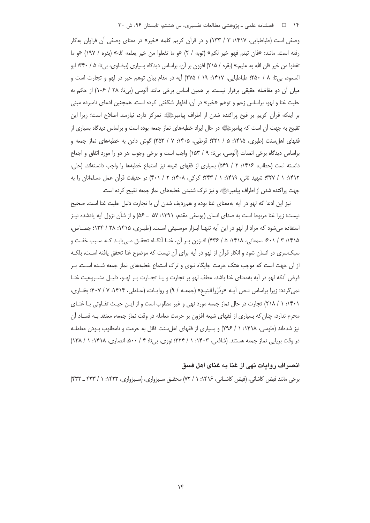۱۴ ه ه اسلام علمي ـ پژوهشي مطالعات تفسيري، س هشتم، تابستان ۹۶، ش ۳۰

وصفی است (طباطبایی، ۱۴۱۷: ۳ / ۱۳۳) و در قرآن کریم کلمه «خیر» در معنای وصفی آن فراوان بهکار رفته است. مانند: «فان تبتم فهو خير لكم» (توبه / ٢) «و ما تفعلوا من خير يعلمه الله» (بقره / ١٩٧) «و ما تفعلوا من خیر فان الله به علیم.» (بقره / ۲۱۵) افزون بر آن، براساس دیدگاه بسیاری (بیضاوی، بیتا: ۵ / ۳۴۰؛ ابو السعود، بي تا: ٨ / ٢٥٠؛ طباطبايي، ١٤١٧: ١٩ / ٢٧۵) آيه در مقام بيان توهم خير در لهو و تجارت است و میان أن دو مفاضله حقیقی برقرار نیست. بر همین اساس برخی مانند ألوسی (بیتا: ۲۸ / ۱۰۶) از حکم به حلیت غنا و لهو، براساس زعم و توهم «خیر» در آن، اظهار شگفتی کرده است. همچنین ادعای نامبرده مبنی بر اینکه قرآن کریم بر قبح پراکنده شدن از اطراف پیامبرﷺ تمرکز دارد، نیازمند اصلاح است؛ زیرا این تقبیح به جهت آن است که پیامبرﷺ در حال ایراد خطبههای نماز جمعه بوده است و براساس دیدگاه بسیاری از فقهای اهل سنت (طبری، ۱۴۱۵: ۵ / ۲۲۱؛ قرطبی، ۱۴۰۵: ۷ / ۳۵۳) گوش دادن به خطبههای نماز جمعه و براساس ديدگاه برخي انصات (آلوسي، بي¤: ٩ / ١۵٣) واجب است و برخي وجوب هر دو را مورد اتفاق و اجماع دانسته است (حطاب، ۱۴۱۶: ۲ / ۵۴۹) بسیاری از فقهای شیعه نیز استماع خطبهها را واجب دانستهاند. (حلی، ۱۴۱۲: ۱ / ۳۲۷؛ شهید ثانی، ۱۴۱۹: ۱ / ۲۴۳؛ کرکی، ۱۴۰۸: ۲ / ۴۰۱) در حقیقت قرآن عمل مسلمانان را به جهت پراکنده شدن از اطراف پیامبرﷺ و نیز ترک شنیدن خطبههای نماز جمعه تقبیح کرده است.

نيز اين ادعا كه لهو در آيه بهمعناي غنا بوده و همرديف شدن آن با تجارت دليل حليت غنا است. صحيح نیست؛ زیرا غنا مربوط است به صدای انسان (یوسفی مقدم، ۱۳۹۱: ۵۷ \_ ۵۶) و از شأن نزول آیه یادشده نیـز استفاده می شود که مراد از لهو در این آیه تنهـا ابـزار موسـیقی اسـت. (طبـری، ۱۴۱۵: ۲۸ / ۱۳۴؛ جصـاص، ۱۴۱۵: ۰٫۴ / ۶۰۱؛ سمعانی، ۱۴۱۸: ۵ / ۴۳۶) افـزون بـر آن، غنـا آنگــاه تحقـق مـیLیابـد کـه سـبب خفـت و سبکسری در انسان شود و انکار قرآن از لهو در آیه برای آن نیست که موضوع غنا تحقق یافته اسـت، بلکـه از آن جهت است که موجب هتک حرمت جایگاه نبوی و ترک استماع خطبههای نماز جمعه شـده اسـت. بـر فرض آنکه لهو در آیه بهمعنای غنا باشد، عطف لهو بر تجارت و یـا تجـارت بـر لهـو، دلیـل مشـروعیت غنـا نمی گردد؛ زیرا براساس نـص آیـه «وذَرُوا البَيـعَ» (جمعـه / ۹) و روایـات، (عـاملي، ۱۴۱۴: ۷ / ۴۰۷؛ بخـاري، ۰۱۴۰۱ ( / ۲۱۸) تجارت در حال نماز جمعه مورد نهی و غیر مطلوب است و از ایـن حیـث تفـاوتی بـا غنـای محرم ندارد، چنان که بسیاری از فقهای شیعه افزون بر حرمت معامله در وقت نماز جمعه، معتقد بـه فسـاد آن نیز شدهاند (طوسی، ۱۴۱۸: ۱ / ۲۹۶) و بسیاری از فقهای اهلسنت قائل به حرمت و نامطلوب بـودن معاملـه در وقت بریایی نماز جمعه هستند. (شافعی، ۱۴۰۳: ۱ / ۲۲۴؛ نووی، بی تا: ۰ / ۵۰۰، انصاری، ۱۴۱۸: ۱ / ۱۳۸)

## انصراف روايات نهى از غنا به غناي اهل فسق

برخی مانند فیض کاشانی، (فیض کاشـانی، ۱۴۱۶: ۱ / ۷۲) محقـق سـبزواری، (سـبزواری، ۱۴۲۳: ۱ / ۴۳۳\_ ۴۳۳)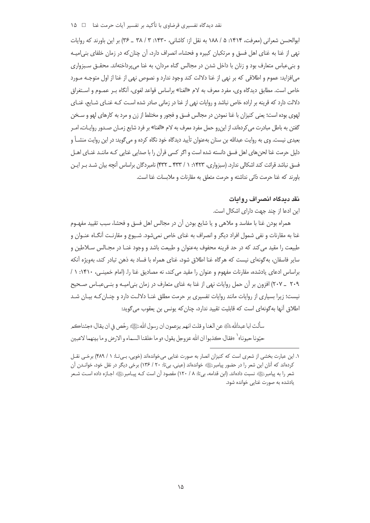نقد دیدگاه تفسیری قرضاوی با تأکید بر تفسیر آیات حرمت غنا ⊥ ⊥ ۱۵

بوالحسن شعراني (معرفت، ۱۴۱۴: ۵ / ۱۸۸ به نقل از: کاشاني، ۱۴۳۰: ۳ / ۳۸ \_ ۳۶) بر اين باورند که روايات نهی از غنا به غنای اهل فسق و مرتکبان کبیره و فحشاء، انصراف دارد، آن چنان که در زمان خلفای بنی|میـه و بنیءباس متعارف بود و زنان با داخل شدن در مجالس گناه مردان، به غنا میپرداختهاند. محقـق سـبزواری م إفزايد: عموم و اطلاقي كه بر نهي از غنا دلالت كند وجود ندارد و نصوص نهي از غنا از اول متوجـه مـورد خاص است. مطابق دیدگاه وی، مفرد معرف به لام «الغنا» براساس قواعد لغوی، آنگاه بـر عمـوم و اســتغراق دلالت دارد که قرینه بر اراده خاص نباشد و روایات نهی از غنا در زمانی صادر شده اسـت کـه غنـای شـایع، غنـای لمهوی بوده است؛ یعنی کنیزان با غنا نمودن در مجالس فسق و فجور و مختلط از زن و مرد به کارهای لهو و سـخن گفتن به باطل مبادرت می کردهاند، از این,و حمل مفرد معرف به لام «الغنا» بر فرد شایع زمـان صـدور روایـات، امـر بعیدی نیست. وی به روایت عبدالله بن سنان بهعنوان تأیید دیدگاه خود نگاه کرده و میگوید: در این روایت منشــاً و دلیل حرمت غنا لحنهای اهل فسق دانسته شده است و اگر کسی قرآن را با صدایی غنایی کـه ماننـد غنـای اهــل فسق نباشد قرائت کند اشکالی ندارد. (سبزواری، ۱۴۲۳: ۱ / ۴۳۳ ـ ۴۳۲) نامبردگان براساس آنچه بیان شـد بـر ایـن باورند که غنا حرمت ذاتی نداشته و حرمت متعلق به مقارنات و ملابسات غنا است.

## **نقد دیدگاه انصراف روایات**

این ادعا از چند جهت دارای اشکال است.

همراه بودن غنا با مفاسد و ملاهی و یا شایع بودن آن در مجالس اهل فسق و فحشا، سبب تقیید مفهـوم غنا به مقارنات و نفی شمول افراد دیگر و انصراف به غنای خاص نمیشود. شـیوع و مقارنـت أنگــاه عنــوان و طبیعت را مقید می کند که در حد قرینه محفوف بهعنوان و طبیعت باشد و وجود غنـا در مجـالس سـلاطین و سایر فاسقان، بهگونهای نیست که هرگاه غنا اطلاق شود، غنای همراه با فساد به ذهن تبادر کند، بهویژه آنکه براساس ادعای یادشده، مقارنات مفهوم و عنوان را مقید می کند، نه مصادیق غنا را. (امام خمینـی، ۱۴۱۰: ۱ / ۲۰۹ \_ ۲۰۷) افزون بر آن حمل روايات نهى از غنا به غناي متعارف در زمان بني اميـه و بنـي عبـاس صـحيح نیست؛ زیرا بسیاری از روایات مانند روایات تفسیری بر حرمت مطلق غنـا دلالـت دارد و چنـان کـه بیـان شـد طلاق أنها بهگونهای است که قابلیت تقیید ندارد، چنان که یونس بن یعقوب میگوید:

سألت ابا عبدالله الله عن الغنا و قلت انهم يزعمون ان رسول الله عَلِيَّةِ رخّص في ان يقال: «جئناكم حيّونا حيونا» ( «فقال: كذبوا ان الله عزوجل يقول: «و ما خلقنا السماء و الارض و ما بينهما لاعبين

١. این عبارت بخشی از شعری است که کنیزان انصار به صورت غنایی میخواندهاند (خویی، بـیتا: ١ / ۴۸۹) برخـی نقــل کردهاند که آنان این شعر را در حضور پیامبرﷺ خواندهاند (عینی، بیتا: ۲۰ / ۱۳۶) برخی دیگر در نقل خود، خوانــدن آن شعر را به پیامبرﷺ نسبت دادهاند. (ابن قدامه، بیتا: ۸ / ۱۲۰) مقصود أن است کــه پیــامبرﷺ اجـازه داده اســت شــعر بادشده به صورت غنایی خوانده شود.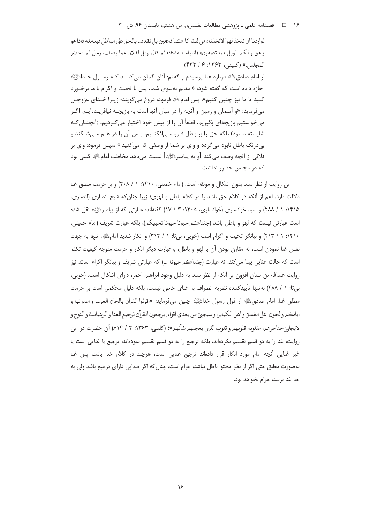## ۱۶ هـ فصلنامه علمي ـ پژوهشي مطالعات تفسيري، س هشتم، تابستان ۹۶، ش ۳۰

لواردنا ان نتخذ لهوا لاتخذناه من لدنا انا كنا فاعلين بل نقذف بالحق على الباطل فيدمغه فاذا هو زاهق و لكمر الويل مما تصفون» (انبياء / ١٨-١٤) ثمر قال: ويل لفلان مما يصف، رجل لمر يحضر المجلس.» (كليني، ١٣۶٣: ٢٣٣/٢) از امام صادقﷺ درباره غنا پرسیدم و گفتم: آنان گمان میکننـد کـه رسـول خـداﷺ اجازه داده است که گفته شود: «آمدیم بهسوی شما، پس با تحیت و اکرام با ما برخـورد كنيد تا ما نيز چنين كنيم»، پس امامﷺ فرمود: دروغ مي گويند؛ زيـرا خـداي عزوجـل میفرماید: «و آسمان و زمین و آنچه را در میان آنها است به بازیچـه نیافریـدهایـم. اگـر می خواستیم بازیچهای بگیریم، قطعاً آن را از پیش خود اختیار می کـردیم، (آنچنــان کــه شایسته ما بود) بلکه حق را بر باطل فـرو مـی|فکنــیم، پــس آن را در هــم مــی شـکند و بے،درنگ باطل نابود می گردد و وای بر شما از وصفی که می *ک*نید.» سپس فرمود: وای بر فلاني از آنچه وصف مي كند [و به پيامبرﷺ] نسبت مي دهد مخاطب امام ﷺ كسي بود که در مجلس حضور نداشت.

این روایت از نظر سند بدون اشکال و موثقه است. (امام خمینی، ۱۴۱۰: ۱ / ۲۰۸) و بر حرمت مطلق غنا دلالت دارد، اعم از أنكه در كلام حق باشد يا در كلام باطل و لهوى؛ زيرا چنان كه شيخ انصارى (انصارى، ۱۴۱۵: ۱ / ۲۸۸) و سید خوانساری (خوانساری، ۱۴۰۵: ۳ / ۱۷) گفتهاند: عبارتی که از پیامبرﷺ نقل شده است عبارتي نيست كه لهو و باطل باشد (جئناڪم حيونا حيونا نحييكم)، بلكه عبارت شريف (امام خميني، ۱۴۱۰: ۱ / ۲۱۳) و بیانگر تحیت و اکرام است (خویی، بی تا: ۱ / ۳۱۲) و انکار شدید امام الله تنها به جهت نفس غنا نمودن است، نه مقارن بودن آن با لهو و باطل، بهعبارت دیگر انکار و حرمت متوجه کیفیت تکلم است که حالت غنايي پيدا مي کند، نه عبارت (جئناڪم حيونا ...) که عبارتي شريف و بيانگر اکرام است. نيز روايت عبدالله بن سنان افزون بر آنكه از نظر سند به دليل وجود ابراهيم احمر، داراي اشكال است. (خويي، بی تا: ١ / ۴٨٨) نه تنها تأیید كننده نظریه انصراف به غنای خاص نیست، بلكه دلیل محكمی است بر حرمت مطلق غنا. امام صادقﷺ از قول رسول خداﷺ چنين ميفرمايد: «اقرئوا القرآن بالحان العرب و اصواتها و اياكم ولحون اهل الفسق واهل الكباير، و سيجيَّ من بعدي اقوام يرجعون القرآن ترجيع الغنا والرهبانية والنوح و لايجاوز حناجرهم، مقلوبه قلوبهم و قلوب الذين يعجبهم شأنهم»؛ (كليني، ١٣۶٣: ٢ / ٤١۴) أن حضرت در اين روايت، غنا را به دو قسم تقسيم نكردهاند، بلكه ترجيع را به دو قسم تقسيم نمودهاند، ترجيع يا غنايي است يا غیر غنایی آنچه امام مورد انکار قرار دادهاند ترجیع غنایی است، هرچند در کلام خدا باشد، پس غنا بهصورت مطلق حتى اگر از نظر محتوا باطل نباشد، حرام است، چنان كه اگر صدايي داراي ترجيع باشد ولي به حد غنا نرسد، حرام نخواهد بود.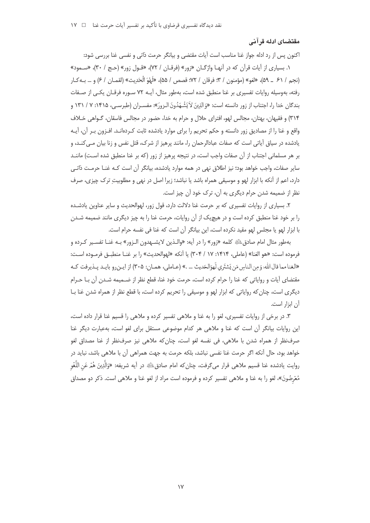## مقتضای ادله قرآنی

اکنون پس از رد ادله جواز غنا مناسب است آیات مقتضی و بیانگر حرمت ذاتی و نفسی غنا بررسی شود: ۱. بسیاری از آیات قرآن که در آنهـا واژگـان «زور» (فرقـان / ۷۲)، «قـول زور» (حـج / ۳۰)، «سـمود» (نجم / ٤١ \_ ٥٩)، «لغو» (مؤمنون / ٣؛ فرقان / ٧٢؛ قصص / ٥۵)، «لَهْوَ الْحَدِيث» (لقمـان / ۶) و … بـ٥٩ ل رفته، بهوسیله روایات تفسیری بر غنا منطبق شده است، بهطور مثال، آیــه ۷۲ سـوره فرقــان یکــی از صــفات بندگان خدا را، اجتناب از زور دانسته است: «وَالَّذِينَ لاَ يَشْـهَدُونَ الـزورَ»: مفسـران (طبرسـي، ۱۴۱۵: ۷ / ۱۳۱ و ٣١۴) و فقیهان، بهتان، مجالس لهو، افترای حلال و حرام به خدا، حضور در مجالس فاسقان، گـواهی خـلاف واقع و غنا را از مصادیق زور دانسته و حکم تحریم را برای موارد یادشده ثابت کـردهانـد. افـزون بـر آن، آیـه یادشده در سیاق آیاتی است که صفات عبادالرحمان را، مانند پرهیز از شرک، قتل نفس و زنا بیان مـی کنـد، و بر هر مسلمانی اجتناب از آن صفات واجب است، در نتیجه پرهیز از زور (که بر غنا منطبق شده است) ماننـد سایر صفات، واجب خواهد بود؛ نیز اطلاق نهی در همه موارد یادشده، بیانگر آن است کـه غنــا حرمــت ذاتــی دارد، اعم از آنکه با ابزار لهو و موسیقی همراه باشد یا نباشد؛ زیرا اصل در نهی و مطلوبیت ترک چیزی، صرف نظر از ضمیمه شدن حرام دیگری به آن، ترک خود آن چیز است.

۲. بسیاری از روایات تفسیری که بر حرمت غنا دلالت دارد، قول زور، لهوالحدیث و سایر عناوین یادشـده را بر خود غنا منطبق کرده است و در هیچیک از آن روایات، حرمت غنا را به چیز دیگری مانند ضمیمه شـدن با ابزار لهو یا مجلس لهو مقید نکرده است، این بیانگر آن است که غنا فی نفسه حرام است.

بهطور مثال امام صادقﷺ كلمه «زور» را در آيه: «والـذين لايشــهدون الـزور» بــه غنــا تفســير كـرده و فرموده است: «هو الغنا» (عاملي، ١۴١۴: ١٧ / ٣٠۴) يا آنكه «لهوالحديث» را بر غنـا منطبـق فرمـوده اسـت: «الغنامما قال الله: وَمِن الناسِ مَن يَشتَرِي لَهوَالحَديث … .» (عـاملي، همـان: ٣٠۵) از ايـن,رو بايـد پـذيرفت كـه مقتضاى آيات و رواياتي كه غنا را حرام كرده است، حرمت خود غنا، قطع نظر از ضــميمه شــدن آن بـا حــرام دیگری است، چنان که روایاتی که ابزار لهو و موسیقی را تحریم کرده است، با قطع نظر از همراه شدن غنا بـا آن ابزار است.

۳. در برخی از روایات تفسیری، لغو را به غنا و ملاهی تفسیر کرده و ملاهی را قسیم غنا قرار داده است، این روایات بیانگر آن است که غنا و ملاهی هر کدام موضوعی مستقل برای لغو است، بهعبارت دیگر غنا صرفنظر از همراه شدن با ملاهی، فی نفسه لغو است، چنان که ملاهی نیز صرفنظر از غنا مصداق لغو خواهد بود، حال آنکه اگر حرمت غنا نفسی نباشد، بلکه حرمت به جهت همراهی آن با ملاهی باشد، نباید در روايت يادشده غنا قسيم ملاهي قرار مي5رفت، چنان كه امام صادقﷺ در أيه شريفه: «وَالَّذِينَ هُمْ عَنِ اللُّغْو مُعْرِضُونَ»، لغو را به غنا و ملاهی تفسیر کرده و فرموده است مراد از لغو غنا و ملاهی است. ذکر دو مصداق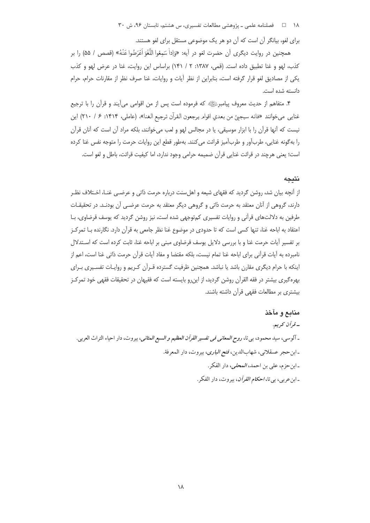۱۸ = 1 فصلنامه علمی ـ پژوهشی مطالعات تفسیری، س هشتم، تابستان ۹۶، ش ۳۰

برای لغو، بیانگر آن است که آن دو هر یک موضوعی مستقل برای لغو هستند.

همچنين در روايت ديگري آن حضرت لغو در آيه: «وَإِداْ سَمِعُوا اللُّغُوَ اَعْرَضُوا عَنْهُ» (قصص / ۵۵) را بر كذب، لهو و غنا تطبيق داده است. (قمى، ١٣٨٧: ٢ / ١۴١) براساس اين روايت، غنا در عرض لهو و كذب یکی از مصادیق لغو قرار گرفته است، بنابراین از نظر آیات و روایات، غنا صرف نظر از مقارنات حرام، حرام دانسته شده است.

۴. متفاهم از حدیث معروف پیامبرﷺ که فرموده است پس از من اقوامی میآیند و قرآن را با ترجیع غنايي مي خوانند «فانه سيجيئ من بعدي اقوام يرجعون القرآن ترجيع الغنا»، (عاملي، ١۴١۴: ۶ / ٢١٠) اين نیست که آنها قرآن را با ابزار موسیقی، یا در مجالس لهو و لعب می خوانند، بلکه مراد آن است که آنان قرآن را به گونه غنایی، طربآور و طربآمیز قرائت می کنند. بهطور قطع این روایات حرمت را متوجه نفس غنا کرده است؛ يعني هرچند در قرائت غنايي قرآن ضميمه حرامي وجود ندارد، اما كيفيت قرائت، باطل و لغو است.

## نتىجە

از آنچه بیان شد، روشن گردید که فقهای شیعه و اهلِسنت درباره حرمت ذاتی و عرضـی غنـا، اخـتلاف نظـر دارند، گروهی از آنان معتقد به حرمت ذاتی و گروهی دیگر معتقد به حرمت عرضـی آن بودنـد. در تحقیقـات طرفین به دلالتهای قرآنی و روایات تفسیری کم توجهی شده است، نیز روشن گردید که پوسف قرضاوی، بـا اعتقاد به اباحه غنا، تنها کسی است که تا حدودی در موضوع غنا نظر جامعی به قرآن دارد. نگارنده بـا تمرکـز بر تفسیر آیات حرمت غنا و با بررسی دلایل یوسف قرضاوی مبنی بر اباحه غنا، ثابت کرده است که اسـتدلال نامبرده به آيات قرآني براي اباحه غنا تمام نيست، بلكه مقتضا و مفاد آيات قرآن حرمت ذاتي غنا است، اعم از اینکه با حرام دیگری مقارن باشد یا نباشد. همچنین ظرفیت گسترده قـرآن کـریم و روایـات تفسـیری بـرای بهره گیری بیشتر در فقه القرآن روشن گردید، از اینرو بایسته است که فقیهان در تحقیقات فقهی خود تمرکـز بیشتری بر مطالعات فقهی قرآن داشته باشند.

منابع و مآخذ ـ قرآن كريم. ـ آلوسي، سيد محمود، بي تا، *روح المعاني في تفسير القرآن العظيم و السبع المثاني*، بيروت، دار احياء التراث العربي. ـ ابن حجر عسقلاني، شهابالدين، *فتح الباري*، بيروت، دار المعرفة. ـ ابن حزم، علي بن احمد، *المحلي*، دار الفكر . - ابن عربي، بي تا، *احكام القرآن*، بيروت، دار الفكر .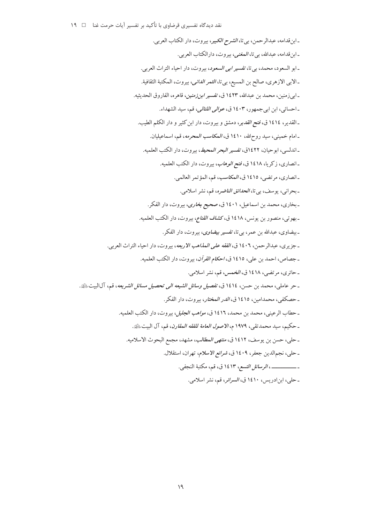نقد دیدگاه تفسیری قرضاوی با تأکید بر تفسیر آیات حرمت غنا □ ١٩

ـ ابن قدامه، عبدالرحمن، بي تا، *الشرح الكبير*، بيروت، دار الكتاب العربي. ـ ابن قدامه، عبدالله، بي تا، *المغنى،* بيروت، دارالكتاب العربي. ـ ابو السعود، محمد، بي تا، تفسير *ابي السعود*، بيروت، دار احياء التراث العربي. ـ الابي الازهري، صالح بن المسيع، بي تا، *الثمر الداني*، بيروت، المكتبة الثقافية. ـ ابي زمنين، محمد بن عبدالله، ١٤٢٣ ق، ت*فسير ابن زمنين*، قاهره، الفاروق الحديثيه. ـ احسائي، ابن ابي جمهور، ١٤٠٣ ق، *عوالي اللئالي*، قم، سيد الشهداء. ـ القدير، ١٤١٤ ق، فتح *القدير*، دمشق و بيروت، دار ابن كثير و دار الكلم الطيب. ـ امام خميني، سيد روحالله، ١٤١٠ ق، *المكاسب المحرمه*، قم، اسماعيليان. ـ اندلسي، ابوحيان، ١٤٢٢ق، تفسير *البحر المحيط*، بيروت، دار الكتب العلميه. ـ انصاري، زكريا، ١٤١٨ ق، فتح *الوهاب*، بيروت، دار الكتب العلميه. ـ انصاري، مرتضى، ١٤١٥ ق، المكاسب، قم، المؤتمر العالمي. - بحراني، يوسف، بي تا، *الحدائق الناضره*، قم، نشر اسلامي. ـ بخاري، محمد بن اسماعيل، ١٤٠١ ق، صحيح ب*خاري*، بيروت، دار الفكر. ـ بهوتي، منصور بن يونس، ١٤١٨ ق، ك*شاف القناع*، بيروت، دار الكتب العلميه. ـ بيضاوي، عبدالله بن عمر، بي تا، *تفسير بيضاوي*، بيروت، دار الفكر. ـ جزيري، عبدالرحمن، ١٤٠٦ ق، *الفقه على المذاهب الاربعه*، بيروت، دار احياء التراث العربي. ـ جصاص، احمد بن علي، ١٤١٥ ق، *احكام القرآن*، بيروت، دار الكتب العلميه. ـ حائري، مرتضي، ١٤١٨ ق، الخمس، قم، نشر اسلامي. ـ حر عاملي، محمد بن حسن، ١٤١٤ ق، ت*فصيل وسائل الشيعه الى تحصيل مسائل الشريعه*، قم، آلاليت ﷺ. ـ حصكفي، محمدامين، ١٤١٥ ق، *الدر المختار*، بيروت، دار الفكر. ـ حطاب الرعيني، محمد بن محمد، ١٤١٦ ق، *مواهب الجليل*، بيروت، دار الكتب العلميه. ـ حكيم، سيد محمدتقى، ١٩٧٩ م، *الاصول العامة للفقه المقارن*، قم، آل البيتﷺ. ـ حلي، حسن بن يوسف، ١٤١٢ ق، *منتهى المطالب*، مشهد، مجمع البحوث الاسلاميه. - حلي، نجم الدين جعفر، ١٤٠٩ ق، *شرائع الأسلام*، تهران، استقلال. ـ حلبي، ابن ادريس، ١٤١٠ ق، *السرائر*، قم، نشر اسلامي.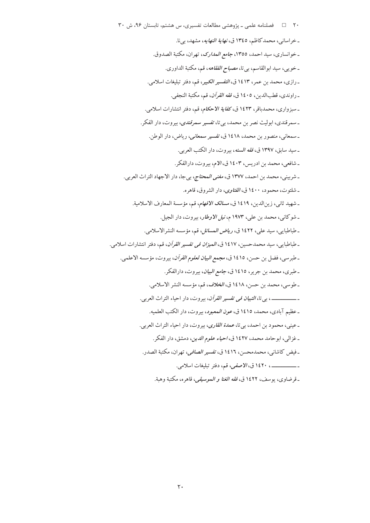٢٠ = 1 فصلنامه علمي ـ پژوهشي مطالعات تفسيري، س هشتم، تابستان ٩۶، ش ٣٠ ـ خراساني، محمد كاظم، ١٣٤٥ ق، *نهاية النهايه*، مشهد، بي نا. ـ خوانساري، سيد احمد، ١٣٥٥، جا*مع المدارك*، تهران، مكتبة الصدوق. ـ خويبي، سيد ابوالقاسم، بي تا، *مصباح الفقاهه*، قم، مكتبة الداوري. ـ رازي، محمد بن عمر، ١٤١٣ ق، *التفسير الكبير*، قم، دفتر تبليغات اسلامي. \_ راوندي، قطبالدين، ١٤٠٥ ق، *فقه القرآن*، قم، مكتبة النجفي. ـ سبزواري، محمدباقر، ۱٤۲۳ ق، *کفاية الاحکام*، قم، دفتر انتشارات اسلامي. ـ سمرقندي، ابوليث نصر بن محمد، بي تا، تفسير سم*رقندي*، بيروت، دار الفكر. ـ سمعاني، منصور بن محمد، ١٤١٨ ق، تفسير سم*عاني، ر*ياض، دار الوطن. ـ سيد سابق، ١٣٩٧ ق، *فقه السنه*، بيروت، دار الكتب العربي. ـ شافعي، محمد بن ادريس، ١٤٠٣ ق، الام، بيروت، دارالفكر. ـ شربيني، محمد بن احمد، ١٣٧٧ ق، *مغنى المحتاج، بي جا*، دار الاجهاد التراث العربي. ـ شلتوت، محمود، ۱٤۰۰ ق، *الفتاوى*، دار الشروق، قاهره. ـ شهيد ثاني، زين الدين، ١٤١٩ ق، *مسالك الأفهام*، قم، مؤسسة المعارف الاسلامية. ـ شوكاني، محمد بن علي، ١٩٧٣ م، *نيل الاوطار*، بيروت، دار الجيل. ـ طباطبايبي، سيد علي، ١٤٢٢ ق، ري*اض المسائل*، قم، مؤسسه النشرالاسلامي. ـ طباطبايبي، سيد محمدحسين، ١٤١٧ ق، *الميزان في تفسير القرآن*، قم، دفتر انتشارات اسلامي. ـ طبرسي، فضل بن حسن، ١٤١٥ ق، *مجمع البيان لعلوم القرآن*، بيروت، مؤسسه الاعلمي. ـ طبري، محمد بن جرير، ١٤١٥ ق، *جامع البيان*، بيروت، دارالفكر. ـ طوسي، محمد بن حسن، ١٤١٨ ق، الخلاف، قم، مؤسسه النشر الاسلامي. ـ \_\_\_\_\_\_\_\_\_\_ ، بي تا، *التبيان في تفسير القرآن*، بيروت، دار احياء التراث العربي. ـ عظيم آبادي، محمد، ١٤١٥ ق، *عون المعبود*، بيروت، دار الكتب العلميه. - عيني، محمود بن احمد، بي تا، *عمدة القارى*، بيروت، دار احياء التراث العربي. ـ غزالي، ابوحامد محمد، ١٤٢٧ ق، احياء علوم الدين، دمشق، دار الفكر. ـ فيض كاشاني، محمدمحسن، ١٤١٦ ق، *تفسير الصافي*، تهران، مكتبة الصدر. ـــــــــــــــــــ ١٤٢٠ ق، *الاصفي،* قم، دفتر تبليغات اسلامي. - قرضاوي، يوسف، ١٤٢٢ ق، *فقه الغنا و الموسيقي*، قاهره، مكتبة وهبة.